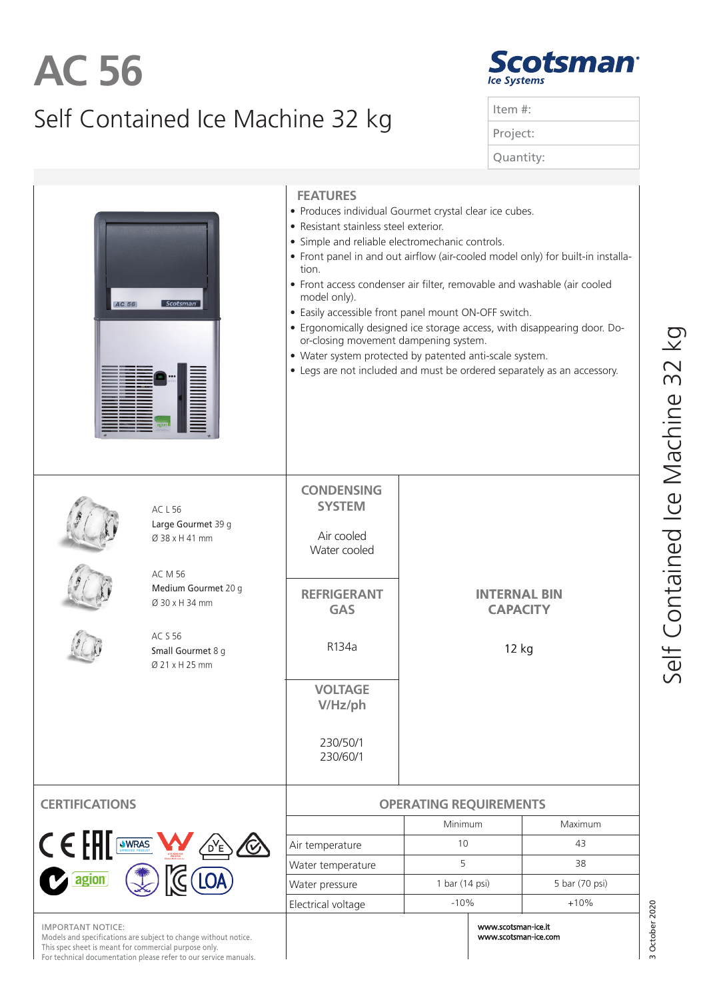## Self Contained Ice Machine 32 kg **AC 56**

| <b>Scotsman®</b> |  |
|------------------|--|
| Ice Systems      |  |

| Item $#$ : |  |
|------------|--|
| Project:   |  |
| Quantity:  |  |
|            |  |

| AC 56<br>Scotsman                                                                                                          |                                                                                                                                                     | <b>FEATURES</b><br>· Produces individual Gourmet crystal clear ice cubes.<br>• Resistant stainless steel exterior.<br>• Simple and reliable electromechanic controls.<br>• Front panel in and out airflow (air-cooled model only) for built-in installa-<br>tion.<br>• Front access condenser air filter, removable and washable (air cooled<br>model only).<br>• Easily accessible front panel mount ON-OFF switch.<br>• Ergonomically designed ice storage access, with disappearing door. Do-<br>or-closing movement dampening system.<br>• Water system protected by patented anti-scale system.<br>• Legs are not included and must be ordered separately as an accessory. |                                                 |                |  |
|----------------------------------------------------------------------------------------------------------------------------|-----------------------------------------------------------------------------------------------------------------------------------------------------|---------------------------------------------------------------------------------------------------------------------------------------------------------------------------------------------------------------------------------------------------------------------------------------------------------------------------------------------------------------------------------------------------------------------------------------------------------------------------------------------------------------------------------------------------------------------------------------------------------------------------------------------------------------------------------|-------------------------------------------------|----------------|--|
|                                                                                                                            | ACL56<br>Large Gourmet 39 g<br>Ø 38 x H 41 mm<br>AC M 56<br>Medium Gourmet 20 g<br>Ø 30 x H 34 mm<br>AC S 56<br>Small Gourmet 8 g<br>Ø 21 x H 25 mm | <b>CONDENSING</b><br><b>SYSTEM</b><br>Air cooled<br>Water cooled<br><b>REFRIGERANT</b><br><b>GAS</b><br>R134a<br><b>VOLTAGE</b><br>V/Hz/ph<br>230/50/1<br>230/60/1                                                                                                                                                                                                                                                                                                                                                                                                                                                                                                              | <b>INTERNAL BIN</b><br><b>CAPACITY</b><br>12 kg |                |  |
| <b>CERTIFICATION</b>                                                                                                       |                                                                                                                                                     | <b>OPERATING REQUIREMENTS</b>                                                                                                                                                                                                                                                                                                                                                                                                                                                                                                                                                                                                                                                   |                                                 |                |  |
|                                                                                                                            |                                                                                                                                                     |                                                                                                                                                                                                                                                                                                                                                                                                                                                                                                                                                                                                                                                                                 | Minimum                                         | Maximum        |  |
| $C \in \mathbb{H}$<br>WRAS                                                                                                 |                                                                                                                                                     | Air temperature                                                                                                                                                                                                                                                                                                                                                                                                                                                                                                                                                                                                                                                                 | 10                                              | 43             |  |
|                                                                                                                            |                                                                                                                                                     | Water temperature                                                                                                                                                                                                                                                                                                                                                                                                                                                                                                                                                                                                                                                               | 5                                               | 38             |  |
| agion                                                                                                                      |                                                                                                                                                     | Water pressure                                                                                                                                                                                                                                                                                                                                                                                                                                                                                                                                                                                                                                                                  | 1 bar (14 psi)                                  | 5 bar (70 psi) |  |
|                                                                                                                            |                                                                                                                                                     | Electrical voltage                                                                                                                                                                                                                                                                                                                                                                                                                                                                                                                                                                                                                                                              | $-10%$                                          | $+10%$         |  |
| <b>ORTANT NOTICE:</b><br>dels and specifications are subject to a<br>This spec sheet is meant for commercial purpose only. | nge without notice.<br>For technical documentation please refer to our service manuals.                                                             |                                                                                                                                                                                                                                                                                                                                                                                                                                                                                                                                                                                                                                                                                 | www.scotsman-ice.it<br>www.scotsman-ice.com     | 3 October 2020 |  |